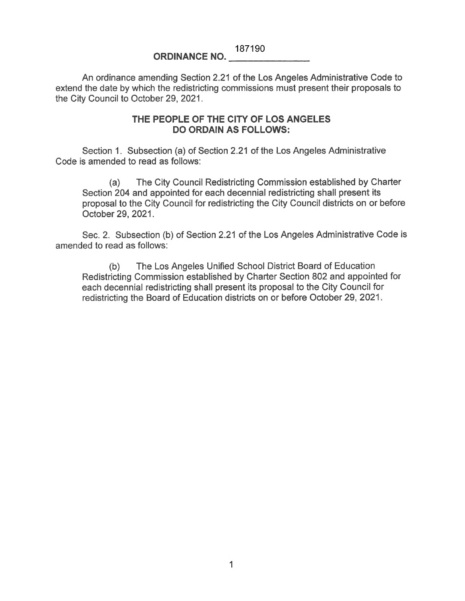## 187190 **ORDINANCE NO.**

## An ordinance amending Section 2.21 of the Los Angeles Administrative Code to extend the date by which the redistricting commissions must present their proposals to the City Council to October 29, 2021.

## **THE PEOPLE OF THE CITY OF LOS ANGELES DO ORDAIN AS FOLLOWS:**

Section 1. Subsection (a) of Section 2.21 of the Los Angeles Administrative Code is amended to read as follows:

(a) The City Council Redistricting Commission established by Charter Section 204 and appointed for each decennial redistricting shall present its proposal to the City Council for redistricting the City Council districts on or before October 29, 2021.

Sec. 2. Subsection (b) of Section 2.21 of the Los Angeles Administrative Code is amended to read as follows:

(b) The Los Angeles Unified School District Board of Education Redistricting Commission established by Charter Section 802 and appointed for each decennial redistricting shall present its proposal to the City Council for redistricting the Board of Education districts on or before October 29, 2021.